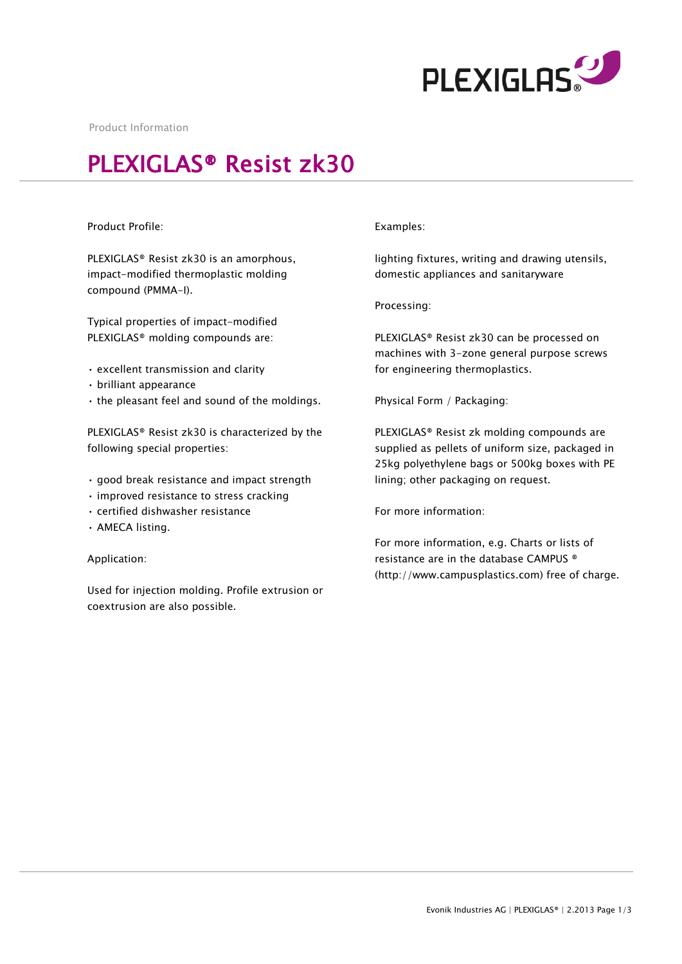

Product Information

## PLEXIGLAS® Resist zk30

## Product Profile:

PLEXIGLAS® Resist zk30 is an amorphous, impact-modified thermoplastic molding compound (PMMA-I).

Typical properties of impact-modified PLEXIGLAS® molding compounds are:

- excellent transmission and clarity
- brilliant appearance
- the pleasant feel and sound of the moldings.

PLEXIGLAS® Resist zk30 is characterized by the following special properties:

- good break resistance and impact strength
- improved resistance to stress cracking
- certified dishwasher resistance
- AMECA listing.

Application:

Used for injection molding. Profile extrusion or coextrusion are also possible.

## Examples:

lighting fixtures, writing and drawing utensils, domestic appliances and sanitaryware

Processing:

PLEXIGLAS® Resist zk30 can be processed on machines with 3-zone general purpose screws for engineering thermoplastics.

Physical Form / Packaging:

PLEXIGLAS® Resist zk molding compounds are supplied as pellets of uniform size, packaged in 25kg polyethylene bags or 500kg boxes with PE lining; other packaging on request.

For more information:

For more information, e.g. Charts or lists of resistance are in the database CAMPUS ® (http://www.campusplastics.com) free of charge.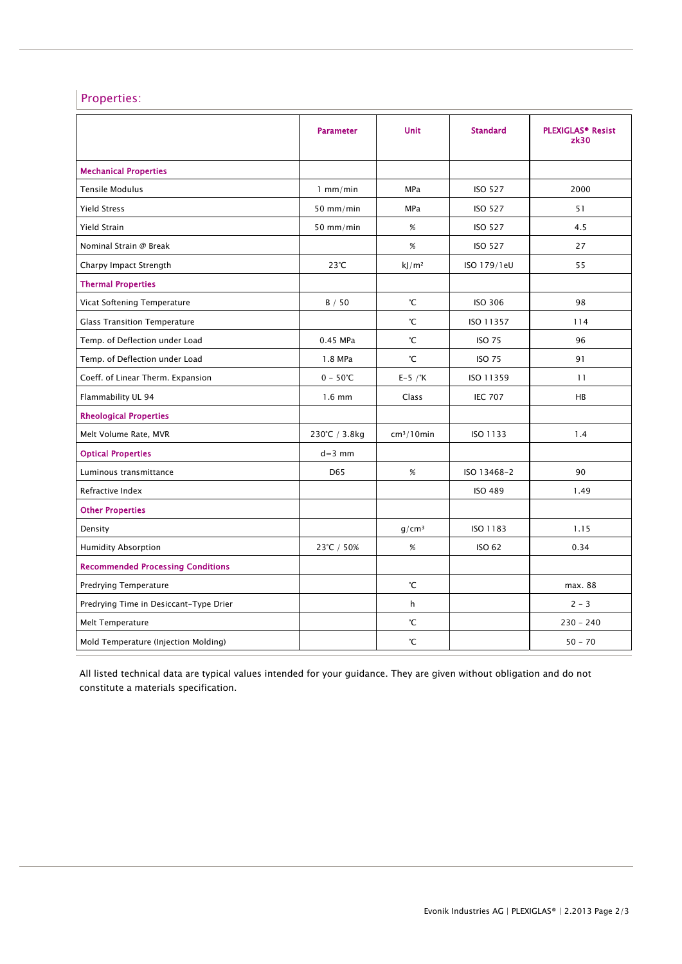## Properties:

|                                          | <b>Parameter</b>  | <b>Unit</b>            | <b>Standard</b> | <b>PLEXIGLAS<sup>®</sup> Resist</b><br>z <sub>k30</sub> |
|------------------------------------------|-------------------|------------------------|-----------------|---------------------------------------------------------|
| <b>Mechanical Properties</b>             |                   |                        |                 |                                                         |
| <b>Tensile Modulus</b>                   | $1$ mm/min        | <b>MPa</b>             | <b>ISO 527</b>  | 2000                                                    |
| <b>Yield Stress</b>                      | 50 mm/min         | MPa                    | <b>ISO 527</b>  | 51                                                      |
| Yield Strain                             | 50 mm/min         | %                      | <b>ISO 527</b>  | 4.5                                                     |
| Nominal Strain @ Break                   |                   | %                      | <b>ISO 527</b>  | 27                                                      |
| Charpy Impact Strength                   | $23^{\circ}$ C    | kJ/m <sup>2</sup>      | ISO 179/1eU     | 55                                                      |
| <b>Thermal Properties</b>                |                   |                        |                 |                                                         |
| Vicat Softening Temperature              | B / 50            | °С                     | <b>ISO 306</b>  | 98                                                      |
| <b>Glass Transition Temperature</b>      |                   | °С                     | ISO 11357       | 114                                                     |
| Temp. of Deflection under Load           | 0.45 MPa          | °С                     | <b>ISO 75</b>   | 96                                                      |
| Temp. of Deflection under Load           | 1.8 MPa           | °С                     | <b>ISO 75</b>   | 91                                                      |
| Coeff. of Linear Therm. Expansion        | $0 - 50^{\circ}C$ | $E-5$ / $\degree$ K    | ISO 11359       | 11                                                      |
| Flammability UL 94                       | $1.6$ mm          | Class                  | <b>IEC 707</b>  | <b>HB</b>                                               |
| <b>Rheological Properties</b>            |                   |                        |                 |                                                         |
| Melt Volume Rate, MVR                    | 230°C / 3.8kg     | cm <sup>3</sup> /10min | ISO 1133        | 1.4                                                     |
| <b>Optical Properties</b>                | $d=3$ mm          |                        |                 |                                                         |
| Luminous transmittance                   | D <sub>65</sub>   | %                      | ISO 13468-2     | 90                                                      |
| Refractive Index                         |                   |                        | <b>ISO 489</b>  | 1.49                                                    |
| <b>Other Properties</b>                  |                   |                        |                 |                                                         |
| Density                                  |                   | q/cm <sup>3</sup>      | ISO 1183        | 1.15                                                    |
| <b>Humidity Absorption</b>               | 23°C / 50%        | $\%$                   | ISO 62          | 0.34                                                    |
| <b>Recommended Processing Conditions</b> |                   |                        |                 |                                                         |
| Predrying Temperature                    |                   | °С                     |                 | max. 88                                                 |
| Predrying Time in Desiccant-Type Drier   |                   | h                      |                 | $2 - 3$                                                 |
| Melt Temperature                         |                   | °С                     |                 | $230 - 240$                                             |
| Mold Temperature (Injection Molding)     |                   | °С                     |                 | $50 - 70$                                               |

All listed technical data are typical values intended for your guidance. They are given without obligation and do not constitute a materials specification.